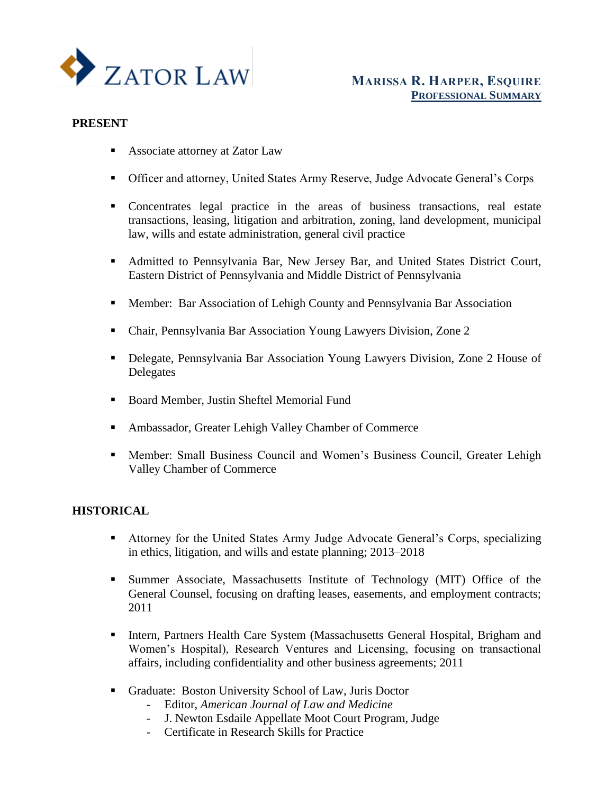

## **PRESENT**

- Associate attorney at Zator Law
- **EXECUTE:** Officer and attorney, United States Army Reserve, Judge Advocate General's Corps
- Concentrates legal practice in the areas of business transactions, real estate transactions, leasing, litigation and arbitration, zoning, land development, municipal law, wills and estate administration, general civil practice
- Admitted to Pennsylvania Bar, New Jersey Bar, and United States District Court, Eastern District of Pennsylvania and Middle District of Pennsylvania
- **EXECUTE:** Bar Association of Lehigh County and Pennsylvania Bar Association
- Chair, Pennsylvania Bar Association Young Lawyers Division, Zone 2
- Delegate, Pennsylvania Bar Association Young Lawyers Division, Zone 2 House of Delegates
- Board Member, Justin Sheftel Memorial Fund
- Ambassador, Greater Lehigh Valley Chamber of Commerce
- **Member: Small Business Council and Women's Business Council, Greater Lehigh** Valley Chamber of Commerce

## **HISTORICAL**

- Attorney for the United States Army Judge Advocate General's Corps, specializing in ethics, litigation, and wills and estate planning; 2013–2018
- Summer Associate, Massachusetts Institute of Technology (MIT) Office of the General Counsel, focusing on drafting leases, easements, and employment contracts; 2011
- **EXECUTE:** Intern, Partners Health Care System (Massachusetts General Hospital, Brigham and Women's Hospital), Research Ventures and Licensing, focusing on transactional affairs, including confidentiality and other business agreements; 2011
- Graduate: Boston University School of Law, Juris Doctor
	- Editor, *American Journal of Law and Medicine*
	- J. Newton Esdaile Appellate Moot Court Program, Judge
	- Certificate in Research Skills for Practice